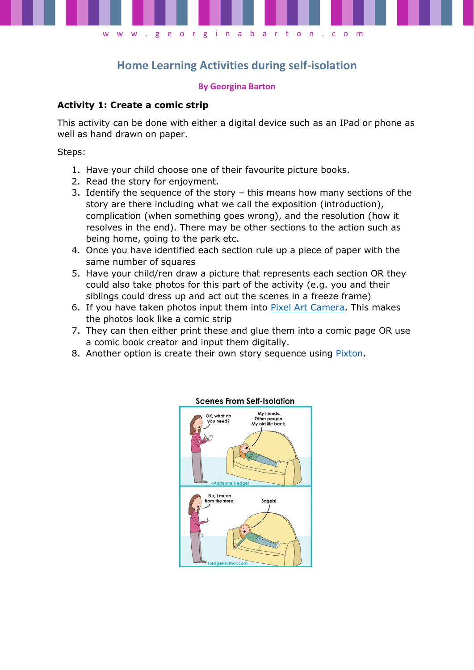

# **Home Learning Activities during self-isolation**

#### **By Georgina Barton**

### **Activity 1: Create a comic strip**

This activity can be done with either a digital device such as an IPad or phone as well as hand drawn on paper.

Steps:

- 1. Have your child choose one of their favourite picture books.
- 2. Read the story for enjoyment.
- 3. Identify the sequence of the story this means how many sections of the story are there including what we call the exposition (introduction), complication (when something goes wrong), and the resolution (how it resolves in the end). There may be other sections to the action such as being home, going to the park etc.
- 4. Once you have identified each section rule up a piece of paper with the same number of squares
- 5. Have your child/ren draw a picture that represents each section OR they could also take photos for this part of the activity (e.g. you and their siblings could dress up and act out the scenes in a freeze frame)
- 6. If you have taken photos input them into [Pixel Art Camera.](https://apps.apple.com/us/app/pixel-art-camera/id1107180652) This makes the photos look like a comic strip
- 7. They can then either print these and glue them into a comic page OR use a comic book creator and input them digitally.
- 8. Another option is create their own story sequence using [Pixton.](https://www.pixton.com/)



#### **Scenes From Self-Isolation**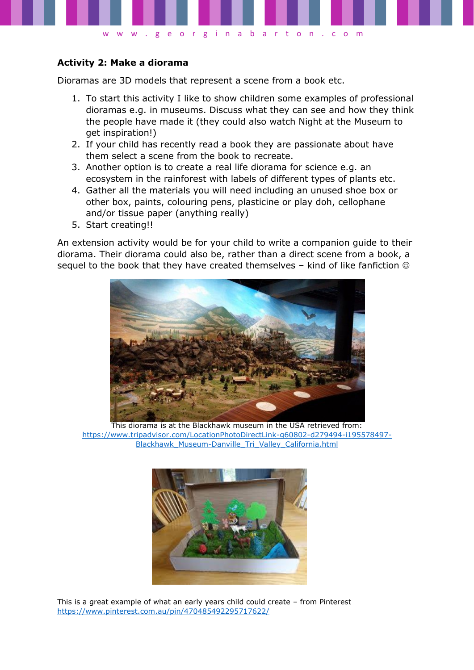

### **Activity 2: Make a diorama**

Dioramas are 3D models that represent a scene from a book etc.

- 1. To start this activity I like to show children some examples of professional dioramas e.g. in museums. Discuss what they can see and how they think the people have made it (they could also watch Night at the Museum to get inspiration!)
- 2. If your child has recently read a book they are passionate about have them select a scene from the book to recreate.
- 3. Another option is to create a real life diorama for science e.g. an ecosystem in the rainforest with labels of different types of plants etc.
- 4. Gather all the materials you will need including an unused shoe box or other box, paints, colouring pens, plasticine or play doh, cellophane and/or tissue paper (anything really)
- 5. Start creating!!

An extension activity would be for your child to write a companion guide to their diorama. Their diorama could also be, rather than a direct scene from a book, a sequel to the book that they have created themselves  $-$  kind of like fanfiction  $\circledcirc$ 



This diorama is at the Blackhawk museum in the USA retrieved from: [https://www.tripadvisor.com/LocationPhotoDirectLink-g60802-d279494-i195578497-](https://www.tripadvisor.com/LocationPhotoDirectLink-g60802-d279494-i195578497-Blackhawk_Museum-Danville_Tri_Valley_California.html) [Blackhawk\\_Museum-Danville\\_Tri\\_Valley\\_California.html](https://www.tripadvisor.com/LocationPhotoDirectLink-g60802-d279494-i195578497-Blackhawk_Museum-Danville_Tri_Valley_California.html)



This is a great example of what an early years child could create – from Pinterest <https://www.pinterest.com.au/pin/470485492295717622/>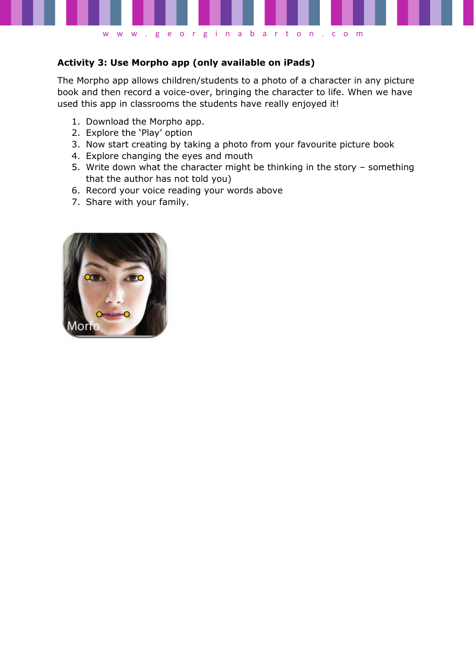

## **Activity 3: Use Morpho app (only available on iPads)**

The Morpho app allows children/students to a photo of a character in any picture book and then record a voice-over, bringing the character to life. When we have used this app in classrooms the students have really enjoyed it!

- 1. Download the Morpho app.
- 2. Explore the 'Play' option
- 3. Now start creating by taking a photo from your favourite picture book
- 4. Explore changing the eyes and mouth
- 5. Write down what the character might be thinking in the story something that the author has not told you)
- 6. Record your voice reading your words above
- 7. Share with your family.

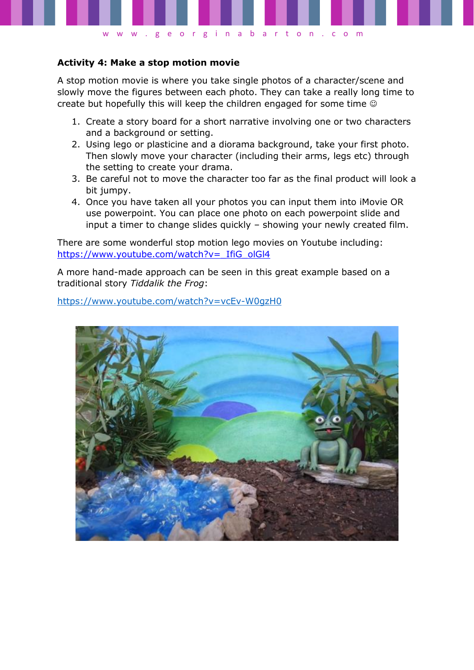

### **Activity 4: Make a stop motion movie**

A stop motion movie is where you take single photos of a character/scene and slowly move the figures between each photo. They can take a really long time to create but hopefully this will keep the children engaged for some time

- 1. Create a story board for a short narrative involving one or two characters and a background or setting.
- 2. Using lego or plasticine and a diorama background, take your first photo. Then slowly move your character (including their arms, legs etc) through the setting to create your drama.
- 3. Be careful not to move the character too far as the final product will look a bit jumpy.
- 4. Once you have taken all your photos you can input them into iMovie OR use powerpoint. You can place one photo on each powerpoint slide and input a timer to change slides quickly – showing your newly created film.

There are some wonderful stop motion lego movies on Youtube including: https://www.youtube.com/watch?v= IfiG\_olGl4

A more hand-made approach can be seen in this great example based on a traditional story *Tiddalik the Frog*:

<https://www.youtube.com/watch?v=vcEv-W0gzH0>